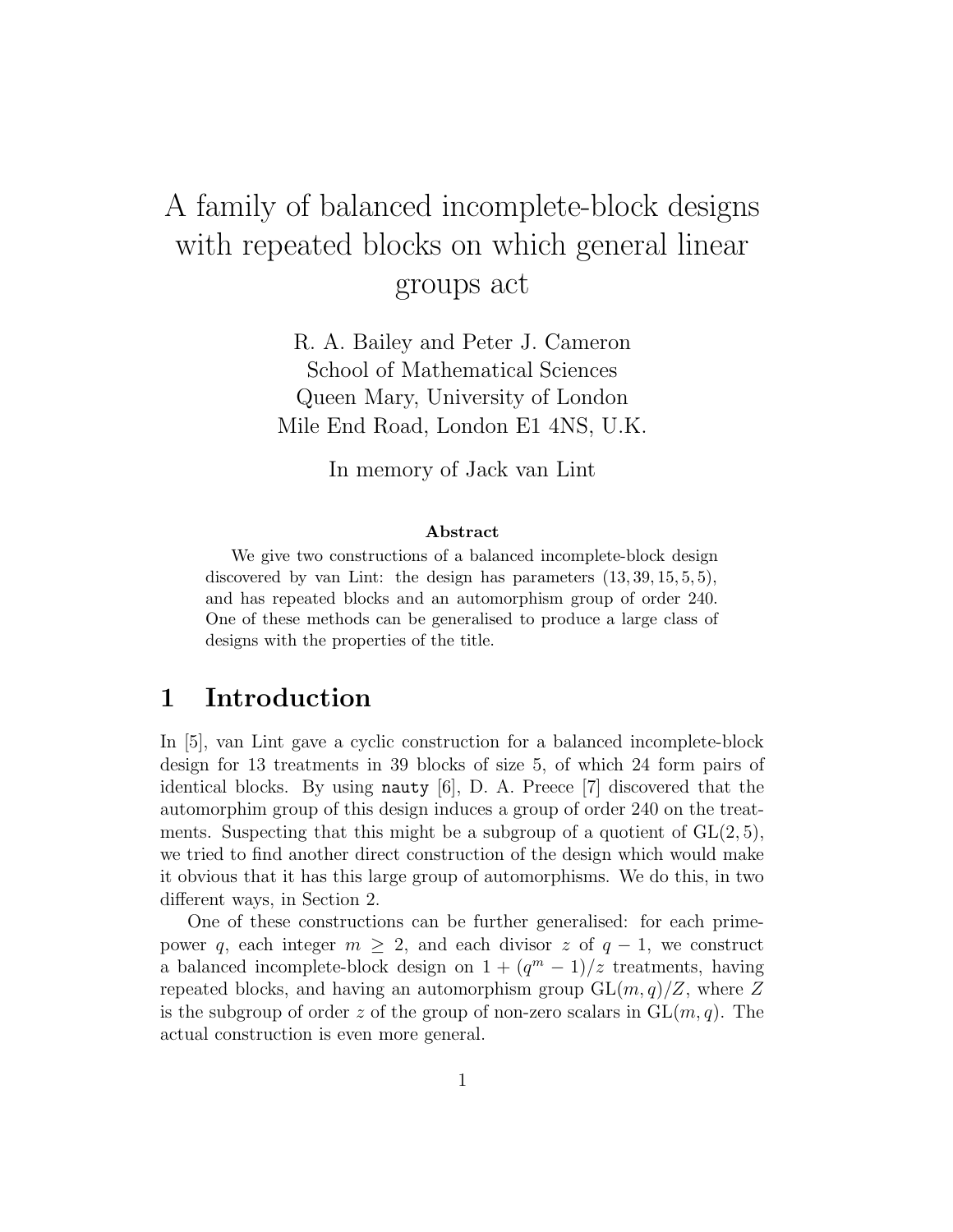# A family of balanced incomplete-block designs with repeated blocks on which general linear groups act

R. A. Bailey and Peter J. Cameron School of Mathematical Sciences Queen Mary, University of London Mile End Road, London E1 4NS, U.K.

In memory of Jack van Lint

#### Abstract

We give two constructions of a balanced incomplete-block design discovered by van Lint: the design has parameters  $(13, 39, 15, 5, 5)$ , and has repeated blocks and an automorphism group of order 240. One of these methods can be generalised to produce a large class of designs with the properties of the title.

## 1 Introduction

In [5], van Lint gave a cyclic construction for a balanced incomplete-block design for 13 treatments in 39 blocks of size 5, of which 24 form pairs of identical blocks. By using nauty  $[6]$ , D. A. Preece  $[7]$  discovered that the automorphim group of this design induces a group of order 240 on the treatments. Suspecting that this might be a subgroup of a quotient of  $GL(2,5)$ , we tried to find another direct construction of the design which would make it obvious that it has this large group of automorphisms. We do this, in two different ways, in Section 2.

One of these constructions can be further generalised: for each primepower q, each integer  $m \geq 2$ , and each divisor z of  $q-1$ , we construct a balanced incomplete-block design on  $1 + (q<sup>m</sup> - 1)/z$  treatments, having repeated blocks, and having an automorphism group  $GL(m, q)/Z$ , where Z is the subgroup of order z of the group of non-zero scalars in  $GL(m, q)$ . The actual construction is even more general.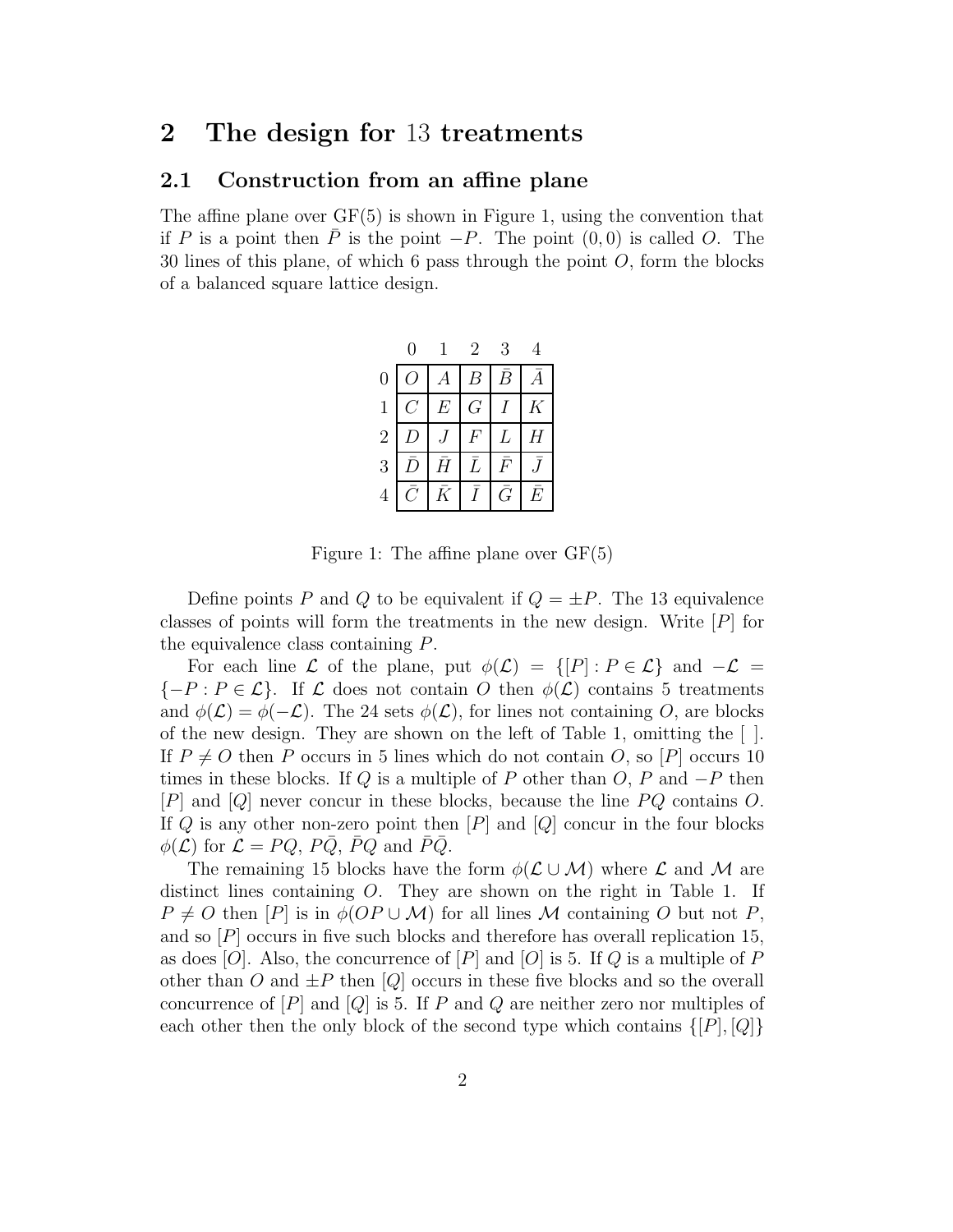### 2 The design for 13 treatments

### 2.1 Construction from an affine plane

The affine plane over  $GF(5)$  is shown in Figure 1, using the convention that if P is a point then P is the point  $-P$ . The point  $(0, 0)$  is called O. The 30 lines of this plane, of which 6 pass through the point  $O$ , form the blocks of a balanced square lattice design.

|                |                  |                  | $\sqrt{2}$     | 3             |   |
|----------------|------------------|------------------|----------------|---------------|---|
| $\overline{0}$ |                  | $\boldsymbol{A}$ | B <sup>1</sup> | $\, B \,$     |   |
| $\mathbf{1}$   |                  | E                | G.             |               | Κ |
| $\sqrt{2}$     | $\left( \right)$ |                  | F              | L             | Н |
| 3              | D)               | Ā                | Ĺ              | F             |   |
|                |                  | $\bar{\kappa}$   | $\tilde{I}$    | $\mathcal{G}$ | E |

Figure 1: The affine plane over GF(5)

Define points P and Q to be equivalent if  $Q = \pm P$ . The 13 equivalence classes of points will form the treatments in the new design. Write  $[P]$  for the equivalence class containing P.

For each line L of the plane, put  $\phi(\mathcal{L}) = \{ [P] : P \in \mathcal{L} \}$  and  $-\mathcal{L} =$  $\{-P : P \in \mathcal{L}\}\.$  If  $\mathcal L$  does not contain O then  $\phi(\mathcal L)$  contains 5 treatments and  $\phi(\mathcal{L}) = \phi(-\mathcal{L})$ . The 24 sets  $\phi(\mathcal{L})$ , for lines not containing O, are blocks of the new design. They are shown on the left of Table 1, omitting the  $\lceil \cdot \rceil$ . If  $P \neq O$  then P occurs in 5 lines which do not contain O, so [P] occurs 10 times in these blocks. If Q is a multiple of P other than  $O, P$  and  $-P$  then [P] and [Q] never concur in these blocks, because the line PQ contains O. If  $Q$  is any other non-zero point then  $[P]$  and  $[Q]$  concur in the four blocks  $\phi(\mathcal{L})$  for  $\mathcal{L} = PQ$ ,  $P\bar{Q}$ ,  $\bar{P}Q$  and  $\bar{P}\bar{Q}$ .

The remaining 15 blocks have the form  $\phi(\mathcal{L} \cup \mathcal{M})$  where  $\mathcal{L}$  and  $\mathcal{M}$  are distinct lines containing O. They are shown on the right in Table 1. If  $P \neq O$  then  $[P]$  is in  $\phi$ ( $OP \cup M$ ) for all lines M containing O but not P, and so  $[P]$  occurs in five such blocks and therefore has overall replication 15, as does [O]. Also, the concurrence of [P] and [O] is 5. If Q is a multiple of P other than O and  $\pm P$  then  $[Q]$  occurs in these five blocks and so the overall concurrence of  $[P]$  and  $[Q]$  is 5. If P and Q are neither zero nor multiples of each other then the only block of the second type which contains  $\{[P],[Q]\}$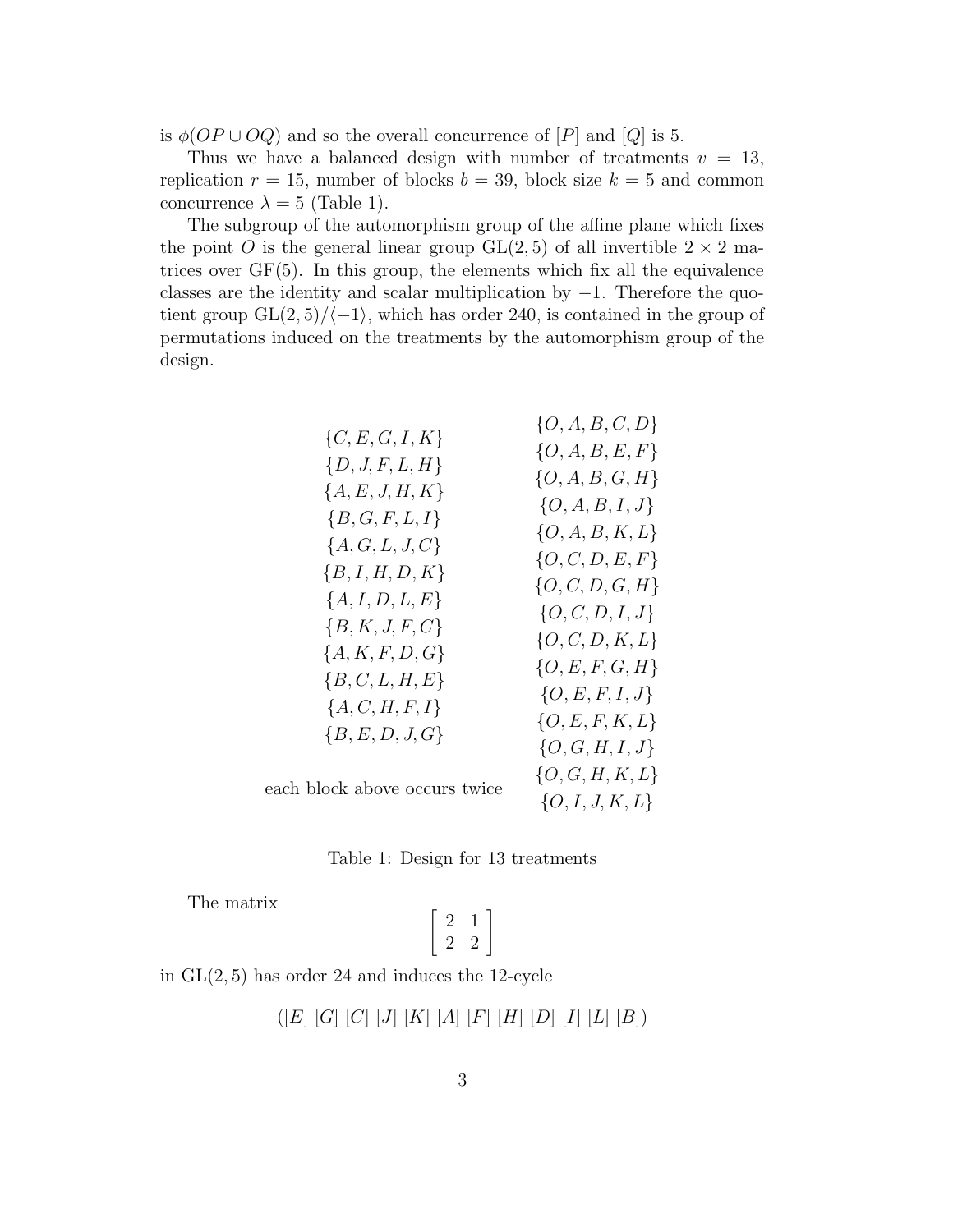is  $\phi(OP \cup OQ)$  and so the overall concurrence of  $[P]$  and  $[Q]$  is 5.

Thus we have a balanced design with number of treatments  $v = 13$ , replication  $r = 15$ , number of blocks  $b = 39$ , block size  $k = 5$  and common concurrence  $\lambda = 5$  (Table 1).

The subgroup of the automorphism group of the affine plane which fixes the point O is the general linear group  $GL(2, 5)$  of all invertible  $2 \times 2$  matrices over  $GF(5)$ . In this group, the elements which fix all the equivalence classes are the identity and scalar multiplication by  $-1$ . Therefore the quotient group  $GL(2, 5)/\langle -1 \rangle$ , which has order 240, is contained in the group of permutations induced on the treatments by the automorphism group of the design.

|                               | $\{O, A, B, C, D\}$ |
|-------------------------------|---------------------|
| $\{C, E, G, I, K\}$           | $\{O, A, B, E, F\}$ |
| $\{D, J, F, L, H\}$           | $\{O, A, B, G, H\}$ |
| ${A, E, J, H, K}$             | $\{O, A, B, I, J\}$ |
| ${B, G, F, L, I}$             |                     |
| $\{A,G,L,J,C\}$               | $\{O, A, B, K, L\}$ |
| ${B, I, H, D, K}$             | $\{O, C, D, E, F\}$ |
|                               | $\{O, C, D, G, H\}$ |
| ${A, I, D, L, E}$             | $\{O, C, D, I, J\}$ |
| ${B, K, J, F, C}$             | $\{O, C, D, K, L\}$ |
| ${A, K, F, D, G}$             |                     |
| ${B, C, L, H, E}$             | $\{O,E,F,G,H\}$     |
| ${A, C, H, F, I}$             | $\{O,E,F,I,J\}$     |
|                               | $\{O,E,F,K,L\}$     |
| ${B, E, D, J, G}$             | $\{O, G, H, I, J\}$ |
|                               | $\{O, G, H, K, L\}$ |
| each block above occurs twice |                     |

 ${O, I, J, K, L}$ 



The matrix

 $\begin{bmatrix} 2 & 1 \end{bmatrix}$ 2 2 1

in  $GL(2, 5)$  has order 24 and induces the 12-cycle

$$
([E] [G] [C] [J] [K] [A] [F] [H] [D] [I] [L] [B])
$$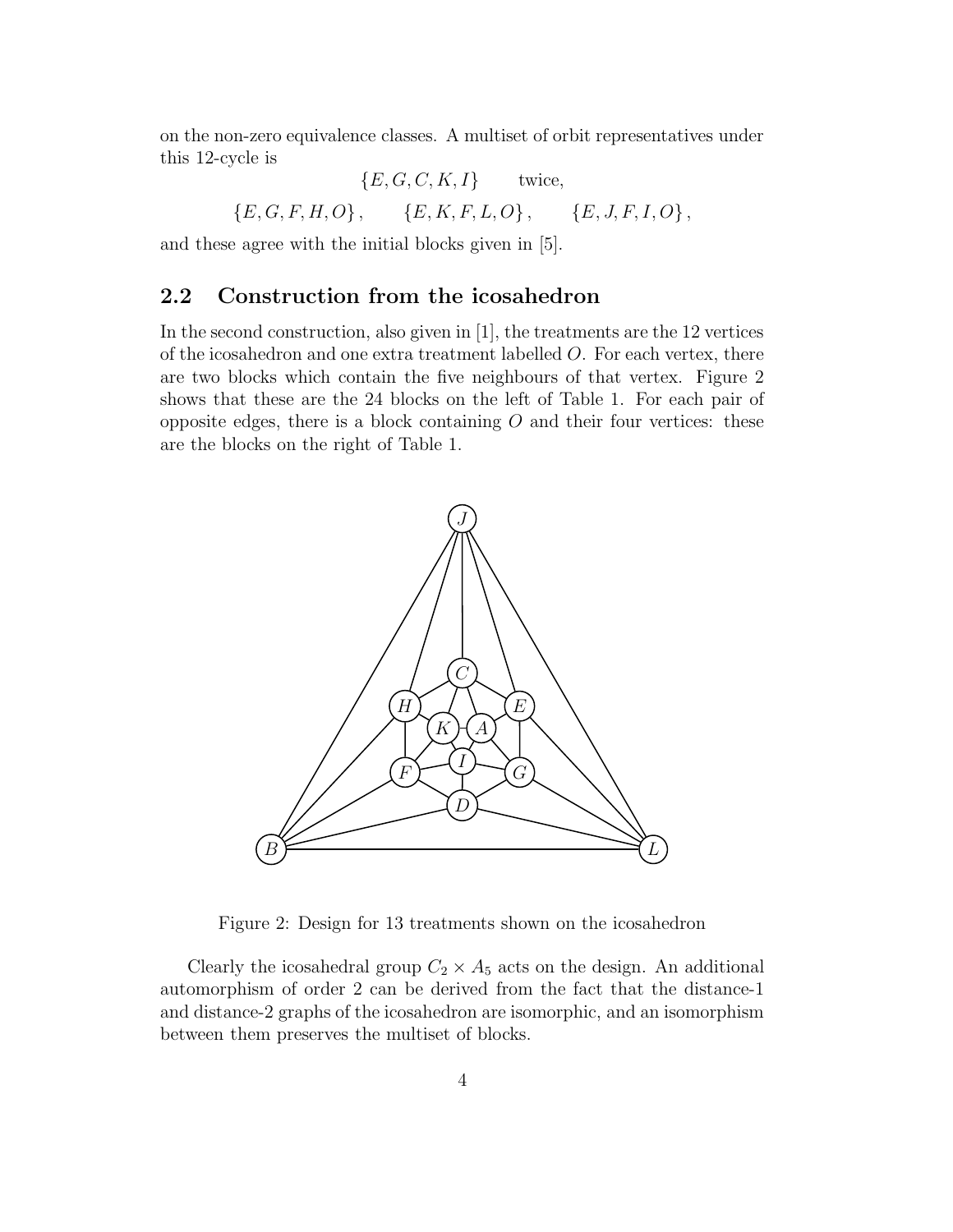on the non-zero equivalence classes. A multiset of orbit representatives under this 12-cycle is

$$
\{E, G, C, K, I\} \text{twice},
$$
  

$$
\{E, G, F, H, O\}, \{E, K, F, L, O\}, \{E, J, F, I, O\},
$$

and these agree with the initial blocks given in [5].

#### 2.2 Construction from the icosahedron

In the second construction, also given in [1], the treatments are the 12 vertices of the icosahedron and one extra treatment labelled O. For each vertex, there are two blocks which contain the five neighbours of that vertex. Figure 2 shows that these are the 24 blocks on the left of Table 1. For each pair of opposite edges, there is a block containing  $O$  and their four vertices: these are the blocks on the right of Table 1.



Figure 2: Design for 13 treatments shown on the icosahedron

Clearly the icosahedral group  $C_2 \times A_5$  acts on the design. An additional automorphism of order 2 can be derived from the fact that the distance-1 and distance-2 graphs of the icosahedron are isomorphic, and an isomorphism between them preserves the multiset of blocks.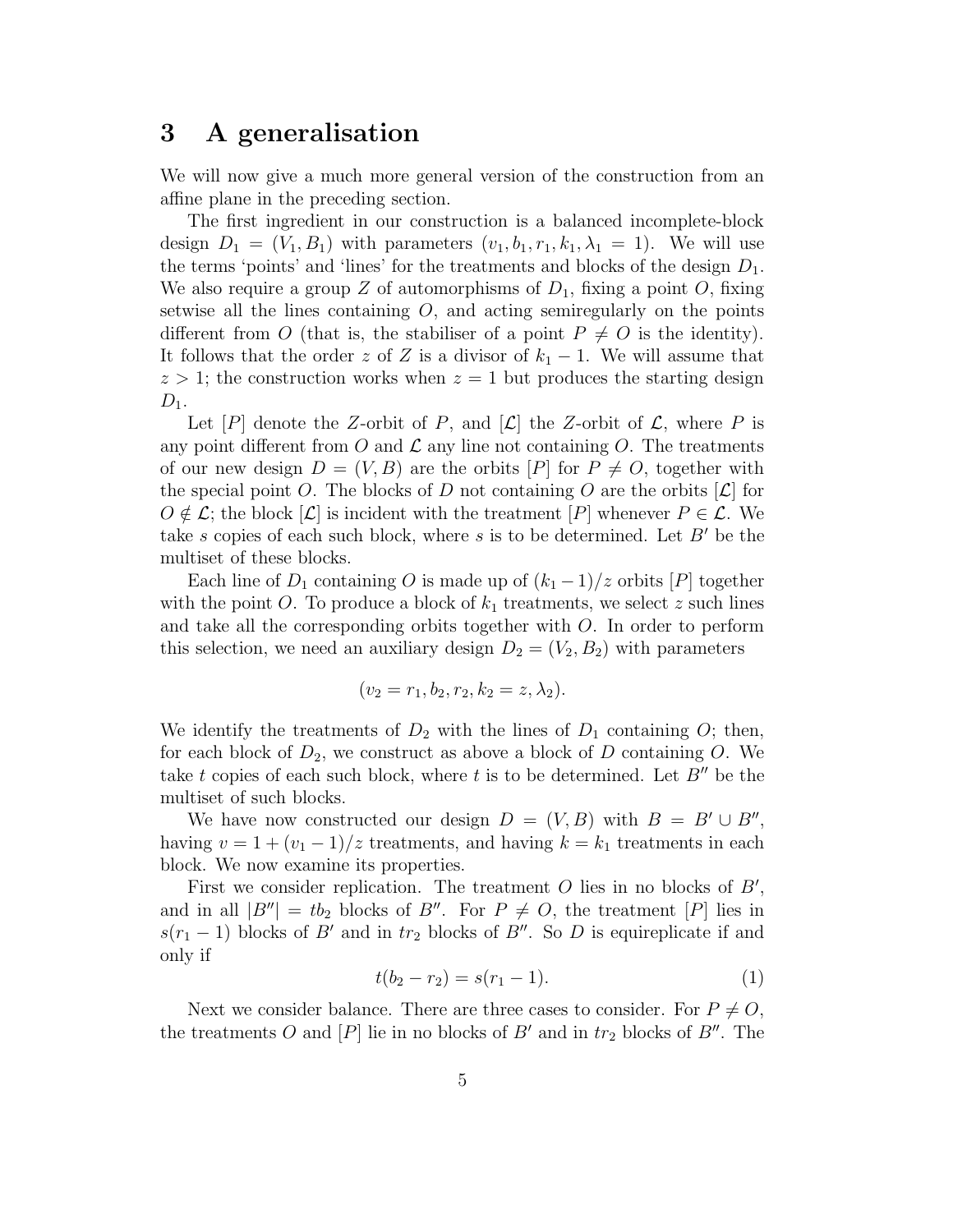### 3 A generalisation

We will now give a much more general version of the construction from an affine plane in the preceding section.

The first ingredient in our construction is a balanced incomplete-block design  $D_1 = (V_1, B_1)$  with parameters  $(v_1, b_1, r_1, k_1, \lambda_1 = 1)$ . We will use the terms 'points' and 'lines' for the treatments and blocks of the design  $D_1$ . We also require a group Z of automorphisms of  $D_1$ , fixing a point O, fixing setwise all the lines containing  $O$ , and acting semiregularly on the points different from O (that is, the stabiliser of a point  $P \neq O$  is the identity). It follows that the order z of Z is a divisor of  $k_1 - 1$ . We will assume that  $z > 1$ ; the construction works when  $z = 1$  but produces the starting design  $D_1$ .

Let  $[P]$  denote the Z-orbit of P, and  $[\mathcal{L}]$  the Z-orbit of  $\mathcal{L}$ , where P is any point different from O and  $\mathcal L$  any line not containing O. The treatments of our new design  $D = (V, B)$  are the orbits  $[P]$  for  $P \neq O$ , together with the special point O. The blocks of D not containing O are the orbits  $[\mathcal{L}]$  for  $O \notin \mathcal{L}$ ; the block  $[\mathcal{L}]$  is incident with the treatment  $[P]$  whenever  $P \in \mathcal{L}$ . We take s copies of each such block, where s is to be determined. Let  $B'$  be the multiset of these blocks.

Each line of  $D_1$  containing O is made up of  $(k_1 - 1)/z$  orbits  $[P]$  together with the point O. To produce a block of  $k_1$  treatments, we select z such lines and take all the corresponding orbits together with  $O$ . In order to perform this selection, we need an auxiliary design  $D_2 = (V_2, B_2)$  with parameters

$$
(v_2 = r_1, b_2, r_2, k_2 = z, \lambda_2).
$$

We identify the treatments of  $D_2$  with the lines of  $D_1$  containing O; then, for each block of  $D_2$ , we construct as above a block of D containing O. We take t copies of each such block, where t is to be determined. Let  $B''$  be the multiset of such blocks.

We have now constructed our design  $D = (V, B)$  with  $B = B' \cup B''$ , having  $v = 1 + (v_1 - 1)/z$  treatments, and having  $k = k_1$  treatments in each block. We now examine its properties.

First we consider replication. The treatment  $O$  lies in no blocks of  $B'$ , and in all  $|B''| = tb_2$  blocks of B''. For  $P \neq O$ , the treatment  $[P]$  lies in  $s(r_1-1)$  blocks of B' and in tr<sub>2</sub> blocks of B''. So D is equireplicate if and only if

$$
t(b_2 - r_2) = s(r_1 - 1).
$$
 (1)

Next we consider balance. There are three cases to consider. For  $P \neq O$ , the treatments O and  $[P]$  lie in no blocks of  $B'$  and in  $tr_2$  blocks of  $B''$ . The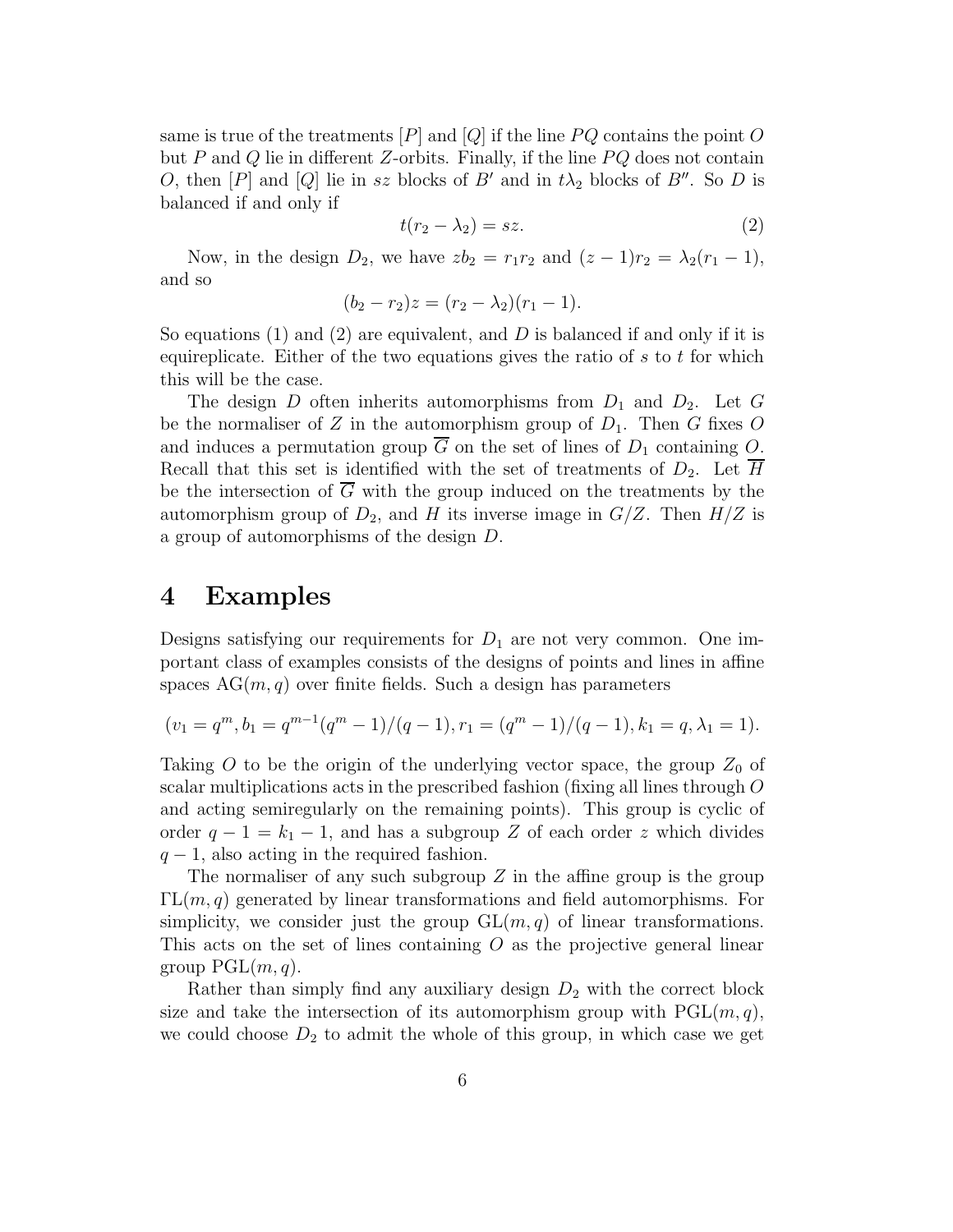same is true of the treatments  $[P]$  and  $[Q]$  if the line  $PQ$  contains the point O but P and Q lie in different Z-orbits. Finally, if the line  $PQ$  does not contain O, then  $[P]$  and  $[Q]$  lie in sz blocks of B' and in  $t\lambda_2$  blocks of B''. So D is balanced if and only if

$$
t(r_2 - \lambda_2) = sz.
$$
 (2)

Now, in the design  $D_2$ , we have  $zb_2 = r_1r_2$  and  $(z - 1)r_2 = \lambda_2(r_1 - 1)$ , and so

$$
(b_2 - r_2)z = (r_2 - \lambda_2)(r_1 - 1).
$$

So equations  $(1)$  and  $(2)$  are equivalent, and D is balanced if and only if it is equireplicate. Either of the two equations gives the ratio of  $s$  to  $t$  for which this will be the case.

The design D often inherits automorphisms from  $D_1$  and  $D_2$ . Let G be the normaliser of Z in the automorphism group of  $D_1$ . Then G fixes O and induces a permutation group  $\overline{G}$  on the set of lines of  $D_1$  containing O. Recall that this set is identified with the set of treatments of  $D_2$ . Let H be the intersection of  $\overline{G}$  with the group induced on the treatments by the automorphism group of  $D_2$ , and H its inverse image in  $G/Z$ . Then  $H/Z$  is a group of automorphisms of the design D.

### 4 Examples

Designs satisfying our requirements for  $D_1$  are not very common. One important class of examples consists of the designs of points and lines in affine spaces  $AG(m, q)$  over finite fields. Such a design has parameters

$$
(v_1 = q^m, b_1 = q^{m-1}(q^m - 1)/(q - 1), r_1 = (q^m - 1)/(q - 1), k_1 = q, \lambda_1 = 1).
$$

Taking O to be the origin of the underlying vector space, the group  $Z_0$  of scalar multiplications acts in the prescribed fashion (fixing all lines through O and acting semiregularly on the remaining points). This group is cyclic of order  $q - 1 = k_1 - 1$ , and has a subgroup Z of each order z which divides  $q-1$ , also acting in the required fashion.

The normaliser of any such subgroup  $Z$  in the affine group is the group  $\Gamma\mathrm{L}(m,q)$  generated by linear transformations and field automorphisms. For simplicity, we consider just the group  $GL(m, q)$  of linear transformations. This acts on the set of lines containing  $O$  as the projective general linear group  $PGL(m, q)$ .

Rather than simply find any auxiliary design  $D_2$  with the correct block size and take the intersection of its automorphism group with  $PGL(m, q)$ , we could choose  $D_2$  to admit the whole of this group, in which case we get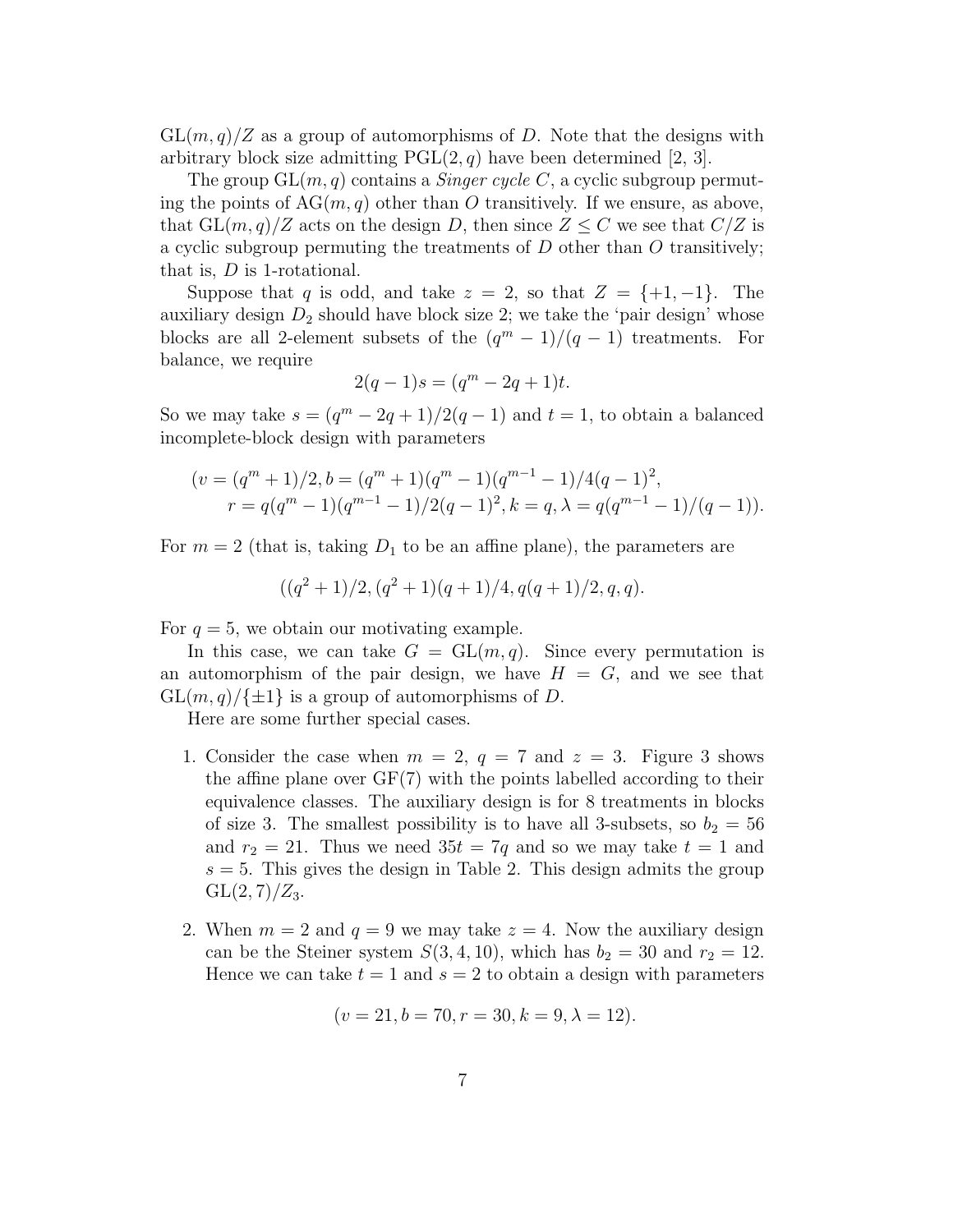$GL(m, q)/Z$  as a group of automorphisms of D. Note that the designs with arbitrary block size admitting  $PGL(2, q)$  have been determined [2, 3].

The group  $GL(m, q)$  contains a *Singer cycle C*, a cyclic subgroup permuting the points of  $AG(m, q)$  other than O transitively. If we ensure, as above, that  $GL(m, q)/Z$  acts on the design D, then since  $Z \leq C$  we see that  $C/Z$  is a cyclic subgroup permuting the treatments of  $D$  other than  $O$  transitively; that is,  $D$  is 1-rotational.

Suppose that q is odd, and take  $z = 2$ , so that  $Z = \{+1, -1\}$ . The auxiliary design  $D_2$  should have block size 2; we take the 'pair design' whose blocks are all 2-element subsets of the  $(q^m-1)/(q-1)$  treatments. For balance, we require

$$
2(q-1)s = (q^m - 2q + 1)t.
$$

So we may take  $s = (q^m - 2q + 1)/2(q - 1)$  and  $t = 1$ , to obtain a balanced incomplete-block design with parameters

$$
(v = (qm + 1)/2, b = (qm + 1)(qm - 1)(qm-1 - 1)/4(q - 1)2,
$$
  

$$
r = q(qm - 1)(qm-1 - 1)/2(q - 1)2, k = q, \lambda = q(qm-1 - 1)/(q - 1)).
$$

For  $m = 2$  (that is, taking  $D_1$  to be an affine plane), the parameters are

$$
((q^{2}+1)/2, (q^{2}+1)(q+1)/4, q(q+1)/2, q, q).
$$

For  $q = 5$ , we obtain our motivating example.

In this case, we can take  $G = GL(m, q)$ . Since every permutation is an automorphism of the pair design, we have  $H = G$ , and we see that  $GL(m, q)/\{\pm 1\}$  is a group of automorphisms of D.

Here are some further special cases.

- 1. Consider the case when  $m = 2$ ,  $q = 7$  and  $z = 3$ . Figure 3 shows the affine plane over GF(7) with the points labelled according to their equivalence classes. The auxiliary design is for 8 treatments in blocks of size 3. The smallest possibility is to have all 3-subsets, so  $b_2 = 56$ and  $r_2 = 21$ . Thus we need  $35t = 7q$  and so we may take  $t = 1$  and  $s = 5$ . This gives the design in Table 2. This design admits the group  $GL(2, 7)/Z_3$ .
- 2. When  $m = 2$  and  $q = 9$  we may take  $z = 4$ . Now the auxiliary design can be the Steiner system  $S(3,4,10)$ , which has  $b_2 = 30$  and  $r_2 = 12$ . Hence we can take  $t = 1$  and  $s = 2$  to obtain a design with parameters

$$
(v = 21, b = 70, r = 30, k = 9, \lambda = 12).
$$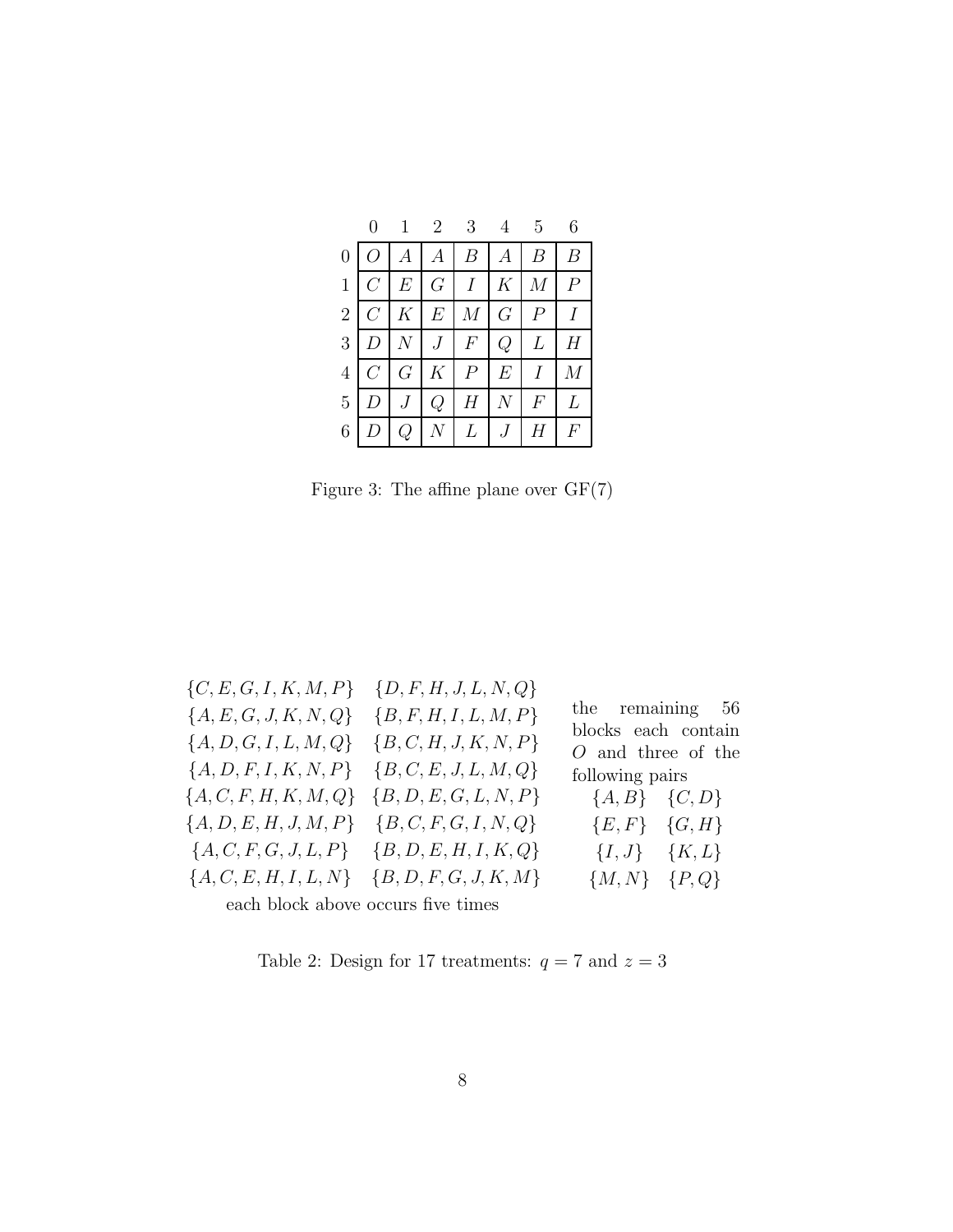|                |                  |                 | $2^{-}$                        | 3                |                  | $5\overline{)}$ |                |
|----------------|------------------|-----------------|--------------------------------|------------------|------------------|-----------------|----------------|
| $\overline{0}$ |                  | А               | $\boldsymbol{A}$               | В                | A                |                 | В              |
| $\mathbf{1}$   | $C_{\mathbb{C}}$ | $\,E$           | $G_{-}$                        | $I_{-}$          | $K_{\mathbb{R}}$ | $\overline{M}$  | $\overline{P}$ |
| $\overline{2}$ | $\overline{C}$   | $K_{\parallel}$ | $\,E$                          | $\boldsymbol{M}$ | G                | $\overline{P}$  |                |
| 3              |                  |                 | $J_{-}$                        | $\,F$            | Q                | L               | Η              |
| $\overline{4}$ | C                | $G\,$           | $K_{\parallel}$                | $\overline{P}$   | $E_{\rm}$        |                 | М              |
| 5              |                  |                 | Q                              | Η                |                  | F               | L              |
| 6              |                  |                 | $N_{\rm \scriptscriptstyle I}$ | L                |                  |                 | F              |

Figure 3: The affine plane over  $\mathrm{GF}(7)$ 

| $\{C, E, G, I, K, M, P\}$ $\{D, F, H, J, L, N, Q\}$<br>${A, E, G, J, K, N, Q}$<br>${A, D, G, I, L, M, Q}$<br>${A, D, F, I, K, N, P}$<br>${A, C, F, H, K, M, Q}$<br>${A, D, E, H, J, M, P}$ ${B, C, F, G, I, N, Q}$ | $\{B, F, H, I, L, M, P\}$<br>${B, C, H, J, K, N, P}$<br>${B, C, E, J, L, M, Q}$<br>${B, D, E, G, L, N, P}$<br>$\{A, C, F, G, J, L, P\}$ $\{B, D, E, H, I, K, Q\}$<br>$\{A, C, E, H, I, L, N\}$ $\{B, D, F, G, J, K, M\}$ | the remaining 56<br>blocks each contain<br>$O$ and three of the<br>following pairs<br>${A, B}$ ${C, D}$<br>${E, F}$ ${G, H}$<br>${I, J}$ ${K, L}$<br>${M, N}$ ${P, Q}$ |
|--------------------------------------------------------------------------------------------------------------------------------------------------------------------------------------------------------------------|--------------------------------------------------------------------------------------------------------------------------------------------------------------------------------------------------------------------------|------------------------------------------------------------------------------------------------------------------------------------------------------------------------|
| each block above occurs five times                                                                                                                                                                                 |                                                                                                                                                                                                                          |                                                                                                                                                                        |

Table 2: Design for 17 treatments:  $q=7$  and  $z=3$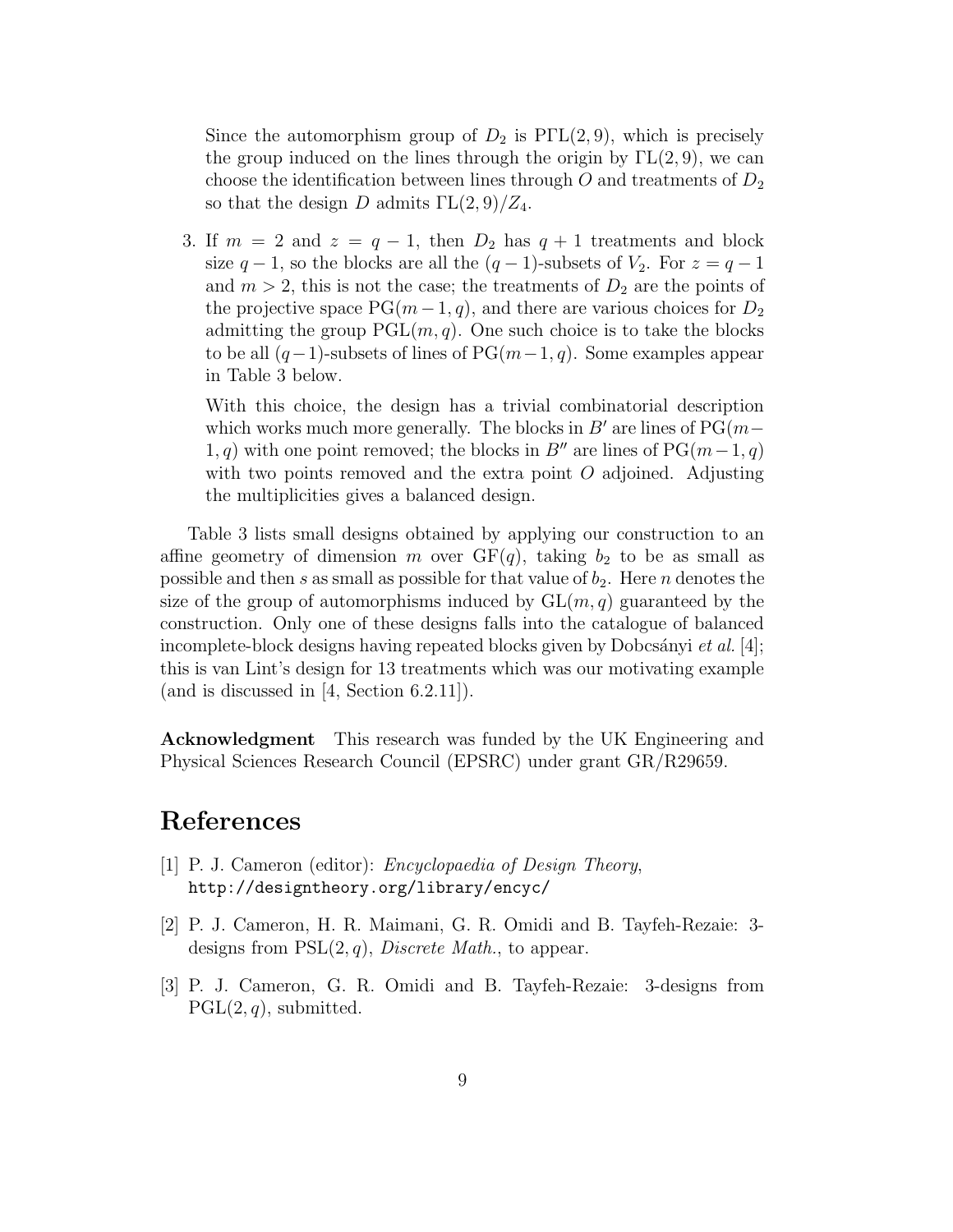Since the automorphism group of  $D_2$  is  $P\Gamma\Gamma(2,9)$ , which is precisely the group induced on the lines through the origin by  $\Gamma L(2, 9)$ , we can choose the identification between lines through O and treatments of  $D_2$ so that the design D admits  $\Gamma L(2,9)/Z_4$ .

3. If  $m = 2$  and  $z = q - 1$ , then  $D_2$  has  $q + 1$  treatments and block size  $q-1$ , so the blocks are all the  $(q-1)$ -subsets of  $V_2$ . For  $z = q-1$ and  $m > 2$ , this is not the case; the treatments of  $D_2$  are the points of the projective space  $PG(m-1, q)$ , and there are various choices for  $D_2$ admitting the group  $PGL(m, q)$ . One such choice is to take the blocks to be all  $(q-1)$ -subsets of lines of PG $(m-1, q)$ . Some examples appear in Table 3 below.

With this choice, the design has a trivial combinatorial description which works much more generally. The blocks in  $B'$  are lines of PG( $m-$ 1, q) with one point removed; the blocks in B<sup>n</sup> are lines of PG(m – 1, q) with two points removed and the extra point  $O$  adjoined. Adjusting the multiplicities gives a balanced design.

Table 3 lists small designs obtained by applying our construction to an affine geometry of dimension m over  $GF(q)$ , taking  $b_2$  to be as small as possible and then s as small as possible for that value of  $b_2$ . Here n denotes the size of the group of automorphisms induced by  $GL(m, q)$  guaranteed by the construction. Only one of these designs falls into the catalogue of balanced incomplete-block designs having repeated blocks given by Dobcsányi et al. [4]; this is van Lint's design for 13 treatments which was our motivating example (and is discussed in [4, Section 6.2.11]).

Acknowledgment This research was funded by the UK Engineering and Physical Sciences Research Council (EPSRC) under grant GR/R29659.

### References

- [1] P. J. Cameron (editor): Encyclopaedia of Design Theory, http://designtheory.org/library/encyc/
- [2] P. J. Cameron, H. R. Maimani, G. R. Omidi and B. Tayfeh-Rezaie: 3 designs from  $PSL(2, q)$ , *Discrete Math.*, to appear.
- [3] P. J. Cameron, G. R. Omidi and B. Tayfeh-Rezaie: 3-designs from  $PGL(2, q)$ , submitted.